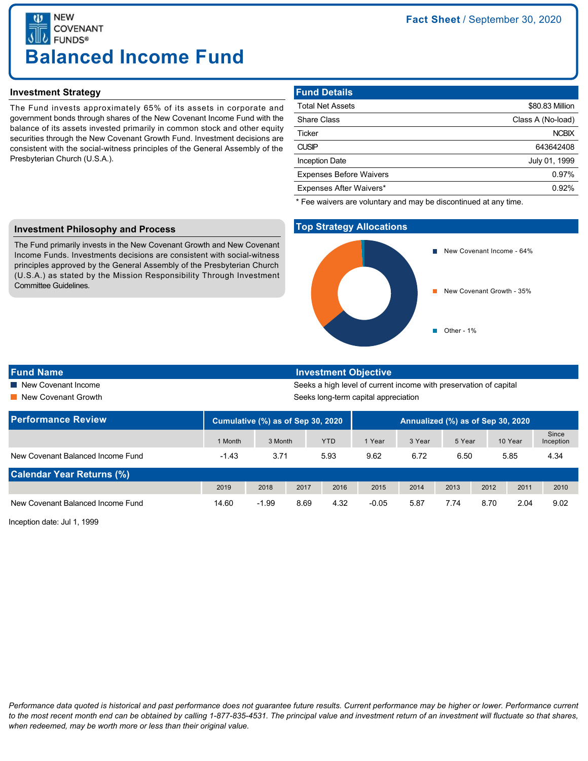**NEW COVENANT FUNDS® Balanced Income Fund**

## **Investment Strategy**

The Fund invests approximately 65% of its assets in corporate and government bonds through shares of the New Covenant Income Fund with the balance of its assets invested primarily in common stock and other equity securities through the New Covenant Growth Fund. Investment decisions are consistent with the social-witness principles of the General Assembly of the Presbyterian Church (U.S.A.).

# **Fund Details**

| <b>Total Net Assets</b>        | \$80.83 Million   |
|--------------------------------|-------------------|
| <b>Share Class</b>             | Class A (No-load) |
| Ticker                         | <b>NCBIX</b>      |
| <b>CUSIP</b>                   | 643642408         |
| <b>Inception Date</b>          | July 01, 1999     |
| <b>Expenses Before Waivers</b> | 0.97%             |
| Expenses After Waivers*        | 0.92%             |
|                                |                   |

\* Fee waivers are voluntary and may be discontinued at any time.

## **Investment Philosophy and Process**

The Fund primarily invests in the New Covenant Growth and New Covenant Income Funds. Investments decisions are consistent with social-witness principles approved by the General Assembly of the Presbyterian Church (U.S.A.) as stated by the Mission Responsibility Through Investment Committee Guidelines.

# **Top Strategy Allocations**



#### **Fund Name Investment Objective**

■ New Covenant Income Seeks a high level of current income with preservation of capital **Now Covenant Growth Seeks long-term capital appreciation** Seeks long-term capital appreciation

| <b>Performance Review</b>         | Cumulative (%) as of Sep 30, 2020 |         |      |            | Annualized (%) as of Sep 30, 2020 |        |        |      |         |                    |
|-----------------------------------|-----------------------------------|---------|------|------------|-----------------------------------|--------|--------|------|---------|--------------------|
|                                   | 1 Month                           | 3 Month |      | <b>YTD</b> | 1 Year                            | 3 Year | 5 Year |      | 10 Year | Since<br>Inception |
| New Covenant Balanced Income Fund | $-1.43$                           | 3.71    |      | 5.93       | 9.62                              | 6.72   | 6.50   |      | 5.85    | 4.34               |
| <b>Calendar Year Returns (%)</b>  |                                   |         |      |            |                                   |        |        |      |         |                    |
|                                   | 2019                              | 2018    | 2017 | 2016       | 2015                              | 2014   | 2013   | 2012 | 2011    | 2010               |
| New Covenant Balanced Income Fund | 14.60                             | $-1.99$ | 8.69 | 4.32       | $-0.05$                           | 5.87   | 7.74   | 8.70 | 2.04    | 9.02               |

Inception date: Jul 1, 1999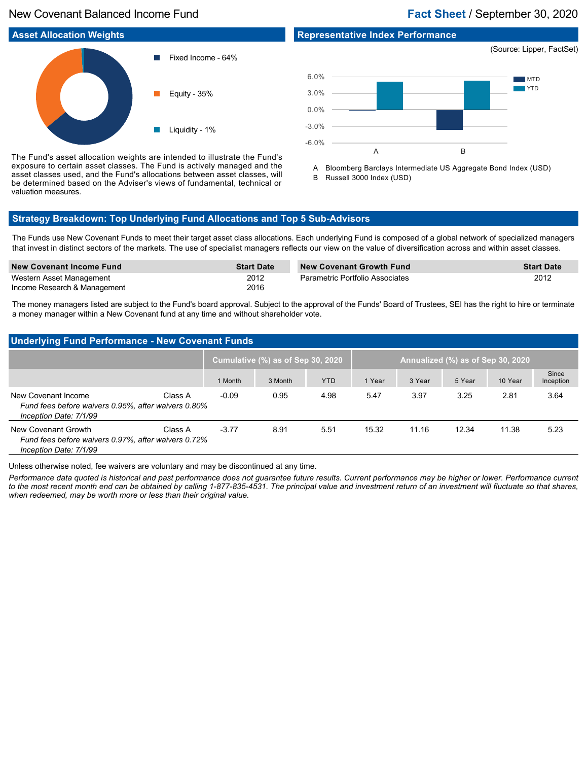# New Covenant Balanced Income Fund **Fact Sheet** / September 30, 2020

# **Representative Index Performance**



**MTD** YTD A B -6.0% -3.0% 0.0% 3.0% 6.0%

The Fund's asset allocation weights are intended to illustrate the Fund's exposure to certain asset classes. The Fund is actively managed and the asset classes used, and the Fund's allocations between asset classes, will be determined based on the Adviser's views of fundamental, technical or valuation measures.

A Bloomberg Barclays Intermediate US Aggregate Bond Index (USD) B Russell 3000 Index (USD)

# **Strategy Breakdown: Top Underlying Fund Allocations and Top 5 Sub-Advisors**

The Funds use New Covenant Funds to meet their target asset class allocations. Each underlying Fund is composed of a global network of specialized managers that invest in distinct sectors of the markets. The use of specialist managers reflects our view on the value of diversification across and within asset classes.

| New Covenant Income Fund     | <b>Start Date</b> | <b>New Covenant Growth Fund</b> | <b>Start Date</b> |
|------------------------------|-------------------|---------------------------------|-------------------|
| Western Asset Management     | 2012              | Parametric Portfolio Associates | 2012              |
| Income Research & Management | 2016              |                                 |                   |

The money managers listed are subject to the Fund's board approval. Subject to the approval of the Funds' Board of Trustees, SEI has the right to hire or terminate a money manager within a New Covenant fund at any time and without shareholder vote.

# **Underlying Fund Performance - New Covenant Funds**

| .                                                                                                    |         |                                   |         |            |                                   |        |        |         |                    |  |
|------------------------------------------------------------------------------------------------------|---------|-----------------------------------|---------|------------|-----------------------------------|--------|--------|---------|--------------------|--|
|                                                                                                      |         | Cumulative (%) as of Sep 30, 2020 |         |            | Annualized (%) as of Sep 30, 2020 |        |        |         |                    |  |
|                                                                                                      |         | 1 Month                           | 3 Month | <b>YTD</b> | 1 Year                            | 3 Year | 5 Year | 10 Year | Since<br>Inception |  |
| New Covenant Income<br>Fund fees before waivers 0.95%, after waivers 0.80%<br>Inception Date: 7/1/99 | Class A | $-0.09$                           | 0.95    | 4.98       | 5.47                              | 3.97   | 3.25   | 2.81    | 3.64               |  |
| New Covenant Growth<br>Fund fees before waivers 0.97%, after waivers 0.72%<br>Inception Date: 7/1/99 | Class A | $-3.77$                           | 8.91    | 5.51       | 15.32                             | 11.16  | 12.34  | 11.38   | 5.23               |  |

Unless otherwise noted, fee waivers are voluntary and may be discontinued at any time.

*Performance data quoted is historical and past performance does not guarantee future results. Current performance may be higher or lower. Performance current to the most recent month end can be obtained by calling 1-877-835-4531. The principal value and investment return of an investment will fluctuate so that shares, when redeemed, may be worth more or less than their original value.*

(Source: Lipper, FactSet)